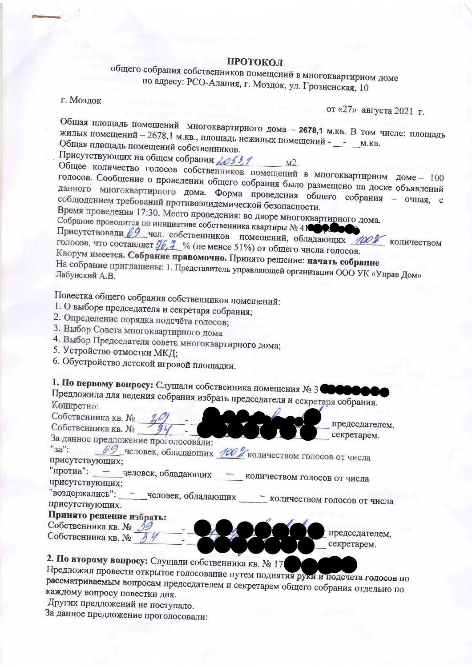#### ПРОТОКОЛ

### общего собрания собственников помещений в многоквартирном доме по адресу: РСО-Алания, г. Моздок, ул. Грозненская, 10

г. Моздок

от «27» августа 2021 г.

Общая площадь помещений многоквартирного дома - 2678,1 м.кв. В том числе: площадь жилых помещений - 2678,1 м.кв., площадь нежилых помещений - \_ - \_ \_ м.кв. Общая площадь помещений собственников.

Присутствующих на общем собрании ДО53,1  $M<sup>2</sup>$ .

Общее количество голосов собственников помещений в многоквартирном доме - 100 голосов. Сообщение о проведении общего собрания было размещено на доске объявлений данного многоквартирного дома. Форма проведения общего собрания - очная, с соблюдением требований противоэпидемической безопасности. Время проведения 17:30. Место проведения: во дворе многоквартирного дома.

Собрание проводится по инициативе собственника квартиры № 41000

Присутствовали 69 чел. собственников помещений, обладающих 100% количеством голосов, что составляет  $\frac{46.4}{4}$  % (не менее 51%) от общего числа голосов.

Кворум имеется. Собрание правомочно. Принято решение: начать собрание На собрание приглашены: 1. Представитель управляющей организации ООО УК «Управ Дом»

Повестка общего собрания собственников помещений:

- 1. О выборе председателя и секретаря собрания;
- 2. Определение порядка подсчёта голосов;
- 3. Выбор Совета многоквартирного дома
- 4. Выбор Председателя совета многоквартирного дома;
- 5. Устройство отмостки МКД;
- 6. Обустройство детской игровой площадки.

# 1. По первому вопросу: Слушали собственника помещения № 3

Предложила для ведения собрания избрать председателя и секретаря собрания. Конкретно:

Собственника кв. №

Собственника кв. № За данное предложение проголосовали:

председателем. секретарем.

69 человек, обладающих 100 количеством голосов от числа "3a": присутствующих; "против":

- человек, обладающих \_\_\_\_\_ количеством голосов от числа

присутствующих; "воздержались":

- человек, обладающих \_\_\_\_\_ количеством голосов от числа присутствующих.

### Принято решение избрать:

Собственника кв. № Собственника кв. № 34

председателем. секретарем.

2. По второму вопросу: Слушали собственника кв. № 17

Предложил провести открытое голосование путем поднятия руки и подсчета голосов по рассматриваемым вопросам председателем и секретарем общего собрания отдельно по каждому вопросу повестки дня.

Других предложений не поступало.

За данное предложение проголосовали: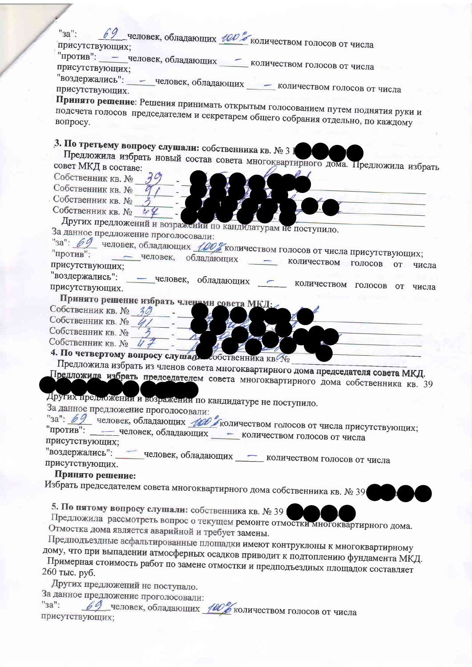69 человек, обладающих 100% количеством голосов от числа  $"sa"$ присутствующих;

"против": - человек, обладающих количеством голосов от числа присутствующих;

"воздержались": - человек, обладающих - количеством голосов от числа присутствующих.

Принято решение: Решения принимать открытым голосованием путем поднятия руки и подсчета голосов председателем и секретарем общего собрания отдельно, по каждому

## 3. По третьему вопросу слушали: собственника кв. № 3 ]

Предложила избрать новый состав совета многоквартирного дома. Предложила избрать совет МКД в составе:

- Собственник кв. №
- Собственник кв. №

Собственник кв. №

Собственник кв. № 44

Других предложений и возражении по кандидатурам не поступило. За данное предложение проголосовали:

"за": 69 человек, обладающих 100% количеством голосов от числа присутствующих;

- человек, обладающих - количеством голосов от числа присутствующих; "воздержались":

- человек, обладающих - количеством голосов от числа присутствующих.

- Принято решение избрать членами совета МКД: Собственник кв. № 30
- Собственник кв. № 4/
- Собственник кв. №

Собственник кв. № 47

4. По четвертому вопросу слушад собственника кв. Мо

Предложила избрать из членов совета многоквартирного дома председателя совета МКД. Предложила избрать председателем совета многоквартирного дома собственника кв. 39

Других предложении и возражении по кандидатуре не поступило.

За данное предложение проголосовали:

"за": 69 человек, обладающих *100 /* количеством голосов от числа присутствующих; "против": — человек, обладающих - количеством голосов от числа присутствующих;

"воздержались": человек, обладающих \_\_\_\_ количеством голосов от числа присутствующих.

#### Принято решение:

Избрать председателем совета многоквартирного дома собственника кв. № 39

5. По пятому вопросу слушали: собственника кв. № 39

Предложила рассмотреть вопрос о текущем ремонте отмостки многоквартирного дома. Отмостка дома является аварийной и требует замены.

Предподъездные асфальтированные площадки имеют контруклоны к многоквартирному

дому, что при выпадении атмосферных осадков приводит к подтоплению фундамента МКД. Примерная стоимость работ по замене отмостки и предподъездных площадок составляет 260 тыс. руб.

Других предложений не поступало.

За данное предложение проголосовали:

человек, обладающих 100% количеством голосов от числа  $"3a"$ : присутствующих;